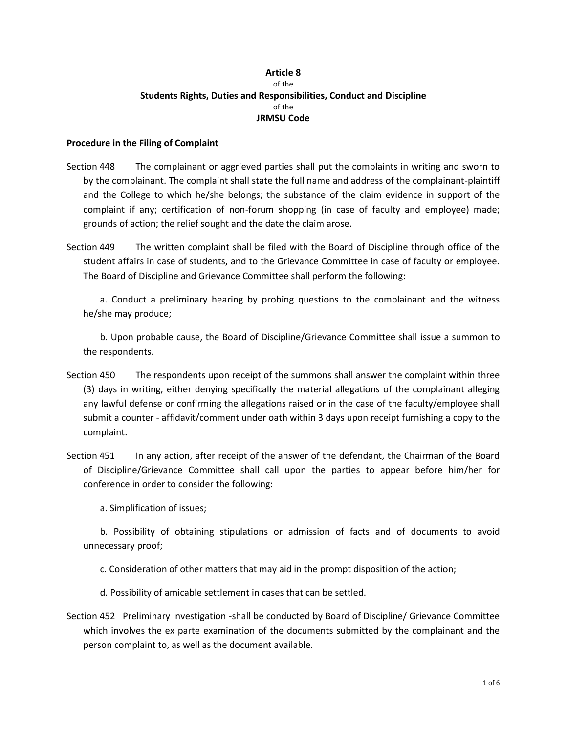## **Article 8** of the **Students Rights, Duties and Responsibilities, Conduct and Discipline** of the **JRMSU Code**

## **Procedure in the Filing of Complaint**

- Section 448 The complainant or aggrieved parties shall put the complaints in writing and sworn to by the complainant. The complaint shall state the full name and address of the complainant-plaintiff and the College to which he/she belongs; the substance of the claim evidence in support of the complaint if any; certification of non-forum shopping (in case of faculty and employee) made; grounds of action; the relief sought and the date the claim arose.
- Section 449 The written complaint shall be filed with the Board of Discipline through office of the student affairs in case of students, and to the Grievance Committee in case of faculty or employee. The Board of Discipline and Grievance Committee shall perform the following:

a. Conduct a preliminary hearing by probing questions to the complainant and the witness he/she may produce;

b. Upon probable cause, the Board of Discipline/Grievance Committee shall issue a summon to the respondents.

- Section 450 The respondents upon receipt of the summons shall answer the complaint within three (3) days in writing, either denying specifically the material allegations of the complainant alleging any lawful defense or confirming the allegations raised or in the case of the faculty/employee shall submit a counter - affidavit/comment under oath within 3 days upon receipt furnishing a copy to the complaint.
- Section 451 In any action, after receipt of the answer of the defendant, the Chairman of the Board of Discipline/Grievance Committee shall call upon the parties to appear before him/her for conference in order to consider the following:

a. Simplification of issues;

b. Possibility of obtaining stipulations or admission of facts and of documents to avoid unnecessary proof;

c. Consideration of other matters that may aid in the prompt disposition of the action;

d. Possibility of amicable settlement in cases that can be settled.

Section 452 Preliminary Investigation -shall be conducted by Board of Discipline/ Grievance Committee which involves the ex parte examination of the documents submitted by the complainant and the person complaint to, as well as the document available.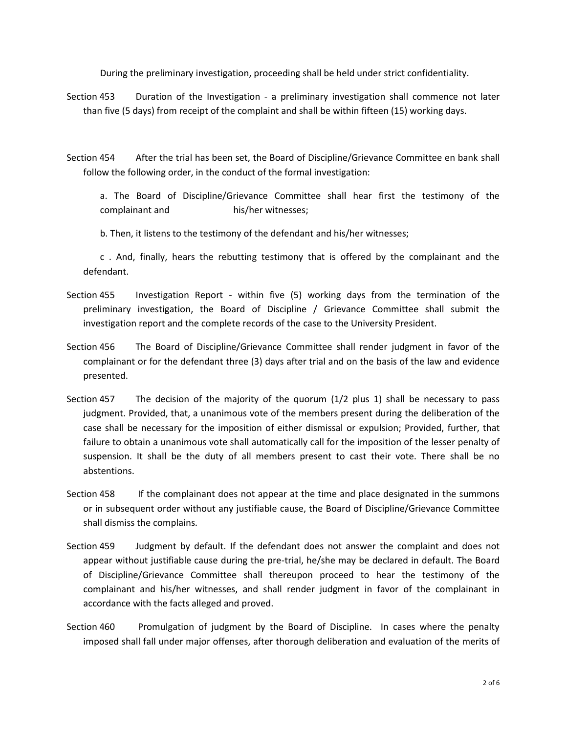During the preliminary investigation, proceeding shall be held under strict confidentiality.

- Section 453 Duration of the Investigation a preliminary investigation shall commence not later than five (5 days) from receipt of the complaint and shall be within fifteen (15) working days.
- Section 454 After the trial has been set, the Board of Discipline/Grievance Committee en bank shall follow the following order, in the conduct of the formal investigation:

a. The Board of Discipline/Grievance Committee shall hear first the testimony of the complainant and his/her witnesses;

b. Then, it listens to the testimony of the defendant and his/her witnesses;

c . And, finally, hears the rebutting testimony that is offered by the complainant and the defendant.

- Section 455 Investigation Report within five (5) working days from the termination of the preliminary investigation, the Board of Discipline / Grievance Committee shall submit the investigation report and the complete records of the case to the University President.
- Section 456 The Board of Discipline/Grievance Committee shall render judgment in favor of the complainant or for the defendant three (3) days after trial and on the basis of the law and evidence presented.
- Section 457 The decision of the majority of the quorum (1/2 plus 1) shall be necessary to pass judgment. Provided, that, a unanimous vote of the members present during the deliberation of the case shall be necessary for the imposition of either dismissal or expulsion; Provided, further, that failure to obtain a unanimous vote shall automatically call for the imposition of the lesser penalty of suspension. It shall be the duty of all members present to cast their vote. There shall be no abstentions.
- Section 458 If the complainant does not appear at the time and place designated in the summons or in subsequent order without any justifiable cause, the Board of Discipline/Grievance Committee shall dismiss the complains.
- Section 459 Judgment by default. If the defendant does not answer the complaint and does not appear without justifiable cause during the pre-trial, he/she may be declared in default. The Board of Discipline/Grievance Committee shall thereupon proceed to hear the testimony of the complainant and his/her witnesses, and shall render judgment in favor of the complainant in accordance with the facts alleged and proved.
- Section 460 Promulgation of judgment by the Board of Discipline. In cases where the penalty imposed shall fall under major offenses, after thorough deliberation and evaluation of the merits of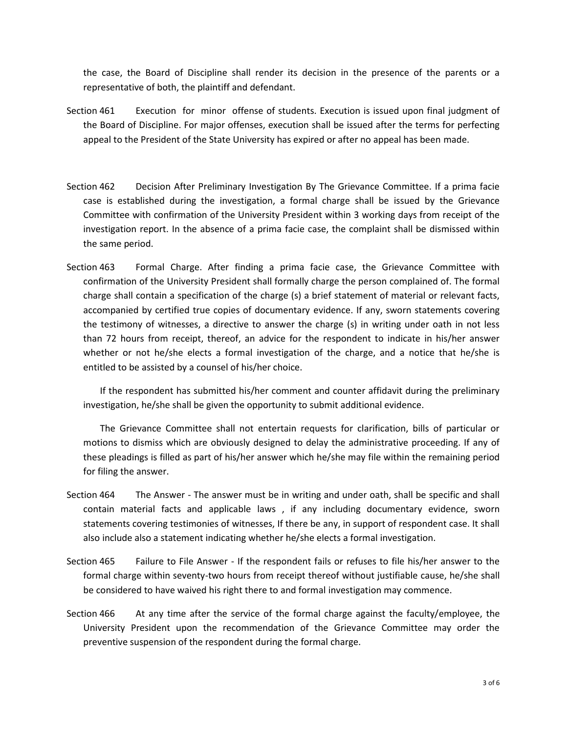the case, the Board of Discipline shall render its decision in the presence of the parents or a representative of both, the plaintiff and defendant.

- Section 461 Execution for minor offense of students. Execution is issued upon final judgment of the Board of Discipline. For major offenses, execution shall be issued after the terms for perfecting appeal to the President of the State University has expired or after no appeal has been made.
- Section 462 Decision After Preliminary Investigation By The Grievance Committee. If a prima facie case is established during the investigation, a formal charge shall be issued by the Grievance Committee with confirmation of the University President within 3 working days from receipt of the investigation report. In the absence of a prima facie case, the complaint shall be dismissed within the same period.
- Section 463 Formal Charge. After finding a prima facie case, the Grievance Committee with confirmation of the University President shall formally charge the person complained of. The formal charge shall contain a specification of the charge (s) a brief statement of material or relevant facts, accompanied by certified true copies of documentary evidence. If any, sworn statements covering the testimony of witnesses, a directive to answer the charge (s) in writing under oath in not less than 72 hours from receipt, thereof, an advice for the respondent to indicate in his/her answer whether or not he/she elects a formal investigation of the charge, and a notice that he/she is entitled to be assisted by a counsel of his/her choice.

If the respondent has submitted his/her comment and counter affidavit during the preliminary investigation, he/she shall be given the opportunity to submit additional evidence.

The Grievance Committee shall not entertain requests for clarification, bills of particular or motions to dismiss which are obviously designed to delay the administrative proceeding. If any of these pleadings is filled as part of his/her answer which he/she may file within the remaining period for filing the answer.

- Section 464 The Answer The answer must be in writing and under oath, shall be specific and shall contain material facts and applicable laws , if any including documentary evidence, sworn statements covering testimonies of witnesses, If there be any, in support of respondent case. It shall also include also a statement indicating whether he/she elects a formal investigation.
- Section 465 Failure to File Answer If the respondent fails or refuses to file his/her answer to the formal charge within seventy-two hours from receipt thereof without justifiable cause, he/she shall be considered to have waived his right there to and formal investigation may commence.
- Section 466 At any time after the service of the formal charge against the faculty/employee, the University President upon the recommendation of the Grievance Committee may order the preventive suspension of the respondent during the formal charge.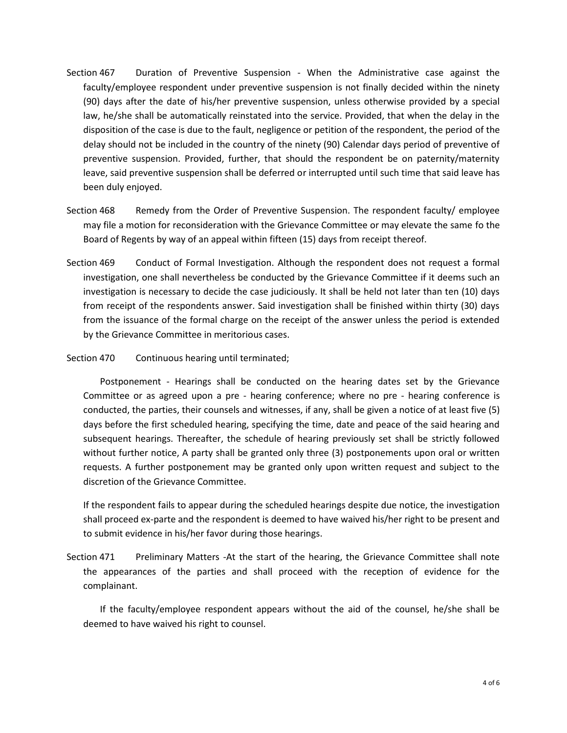- Section 467 Duration of Preventive Suspension When the Administrative case against the faculty/employee respondent under preventive suspension is not finally decided within the ninety (90) days after the date of his/her preventive suspension, unless otherwise provided by a special law, he/she shall be automatically reinstated into the service. Provided, that when the delay in the disposition of the case is due to the fault, negligence or petition of the respondent, the period of the delay should not be included in the country of the ninety (90) Calendar days period of preventive of preventive suspension. Provided, further, that should the respondent be on paternity/maternity leave, said preventive suspension shall be deferred or interrupted until such time that said leave has been duly enjoyed.
- Section 468 Remedy from the Order of Preventive Suspension. The respondent faculty/ employee may file a motion for reconsideration with the Grievance Committee or may elevate the same fo the Board of Regents by way of an appeal within fifteen (15) days from receipt thereof.
- Section 469 Conduct of Formal Investigation. Although the respondent does not request a formal investigation, one shall nevertheless be conducted by the Grievance Committee if it deems such an investigation is necessary to decide the case judiciously. It shall be held not later than ten (10) days from receipt of the respondents answer. Said investigation shall be finished within thirty (30) days from the issuance of the formal charge on the receipt of the answer unless the period is extended by the Grievance Committee in meritorious cases.
- Section 470 Continuous hearing until terminated;

Postponement - Hearings shall be conducted on the hearing dates set by the Grievance Committee or as agreed upon a pre - hearing conference; where no pre - hearing conference is conducted, the parties, their counsels and witnesses, if any, shall be given a notice of at least five (5) days before the first scheduled hearing, specifying the time, date and peace of the said hearing and subsequent hearings. Thereafter, the schedule of hearing previously set shall be strictly followed without further notice, A party shall be granted only three (3) postponements upon oral or written requests. A further postponement may be granted only upon written request and subject to the discretion of the Grievance Committee.

If the respondent fails to appear during the scheduled hearings despite due notice, the investigation shall proceed ex-parte and the respondent is deemed to have waived his/her right to be present and to submit evidence in his/her favor during those hearings.

Section 471 Preliminary Matters -At the start of the hearing, the Grievance Committee shall note the appearances of the parties and shall proceed with the reception of evidence for the complainant.

If the faculty/employee respondent appears without the aid of the counsel, he/she shall be deemed to have waived his right to counsel.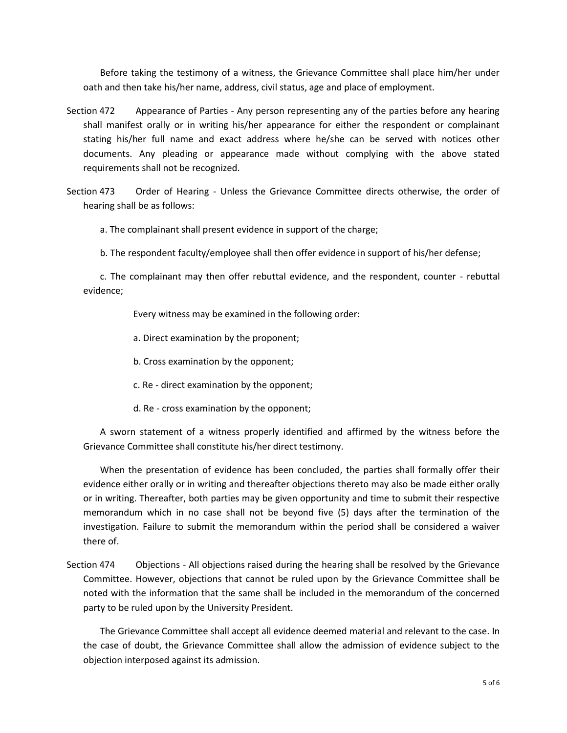Before taking the testimony of a witness, the Grievance Committee shall place him/her under oath and then take his/her name, address, civil status, age and place of employment.

- Section 472 Appearance of Parties Any person representing any of the parties before any hearing shall manifest orally or in writing his/her appearance for either the respondent or complainant stating his/her full name and exact address where he/she can be served with notices other documents. Any pleading or appearance made without complying with the above stated requirements shall not be recognized.
- Section 473 Order of Hearing Unless the Grievance Committee directs otherwise, the order of hearing shall be as follows:

a. The complainant shall present evidence in support of the charge;

b. The respondent faculty/employee shall then offer evidence in support of his/her defense;

c. The complainant may then offer rebuttal evidence, and the respondent, counter - rebuttal evidence;

Every witness may be examined in the following order:

- a. Direct examination by the proponent;
- b. Cross examination by the opponent;
- c. Re direct examination by the opponent;
- d. Re cross examination by the opponent;

A sworn statement of a witness properly identified and affirmed by the witness before the Grievance Committee shall constitute his/her direct testimony.

When the presentation of evidence has been concluded, the parties shall formally offer their evidence either orally or in writing and thereafter objections thereto may also be made either orally or in writing. Thereafter, both parties may be given opportunity and time to submit their respective memorandum which in no case shall not be beyond five (5) days after the termination of the investigation. Failure to submit the memorandum within the period shall be considered a waiver there of.

Section 474 Objections -All objections raised during the hearing shall be resolved by the Grievance Committee. However, objections that cannot be ruled upon by the Grievance Committee shall be noted with the information that the same shall be included in the memorandum of the concerned party to be ruled upon by the University President.

The Grievance Committee shall accept all evidence deemed material and relevant to the case. In the case of doubt, the Grievance Committee shall allow the admission of evidence subject to the objection interposed against its admission.